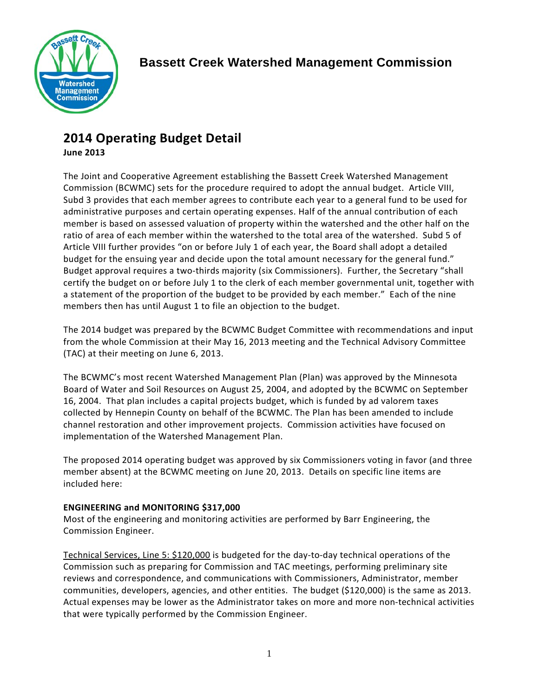

# **2014 Operating Budget Detail**

**June 2013**

The Joint and Cooperative Agreement establishing the Bassett Creek Watershed Management Commission (BCWMC) sets for the procedure required to adopt the annual budget. Article VIII, Subd 3 provides that each member agrees to contribute each year to a general fund to be used for administrative purposes and certain operating expenses. Half of the annual contribution of each member is based on assessed valuation of property within the watershed and the other half on the ratio of area of each member within the watershed to the total area of the watershed. Subd 5 of Article VIII further provides "on or before July 1 of each year, the Board shall adopt a detailed budget for the ensuing year and decide upon the total amount necessary for the general fund." Budget approval requires a two-thirds majority (six Commissioners). Further, the Secretary "shall certify the budget on or before July 1 to the clerk of each member governmental unit, together with a statement of the proportion of the budget to be provided by each member." Each of the nine members then has until August 1 to file an objection to the budget.

The 2014 budget was prepared by the BCWMC Budget Committee with recommendations and input from the whole Commission at their May 16, 2013 meeting and the Technical Advisory Committee (TAC) at their meeting on June 6, 2013.

The BCWMC's most recent Watershed Management Plan (Plan) was approved by the Minnesota Board of Water and Soil Resources on August 25, 2004, and adopted by the BCWMC on September 16, 2004. That plan includes a capital projects budget, which is funded by ad valorem taxes collected by Hennepin County on behalf of the BCWMC. The Plan has been amended to include channel restoration and other improvement projects. Commission activities have focused on implementation of the Watershed Management Plan.

The proposed 2014 operating budget was approved by six Commissioners voting in favor (and three member absent) at the BCWMC meeting on June 20, 2013. Details on specific line items are included here:

# **ENGINEERING and MONITORING \$317,000**

Most of the engineering and monitoring activities are performed by Barr Engineering, the Commission Engineer.

Technical Services, Line 5: \$120,000 is budgeted for the day-to-day technical operations of the Commission such as preparing for Commission and TAC meetings, performing preliminary site reviews and correspondence, and communications with Commissioners, Administrator, member communities, developers, agencies, and other entities. The budget (\$120,000) is the same as 2013. Actual expenses may be lower as the Administrator takes on more and more non-technical activities that were typically performed by the Commission Engineer.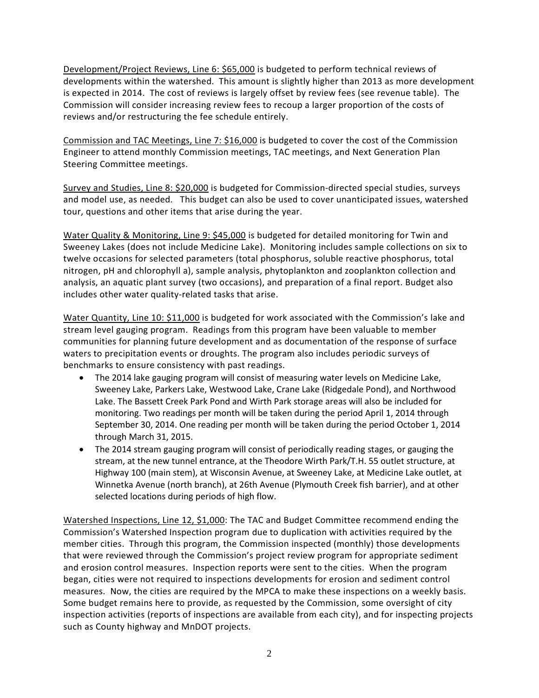Development/Project Reviews, Line 6: \$65,000 is budgeted to perform technical reviews of developments within the watershed. This amount is slightly higher than 2013 as more development is expected in 2014. The cost of reviews is largely offset by review fees (see revenue table). The Commission will consider increasing review fees to recoup a larger proportion of the costs of reviews and/or restructuring the fee schedule entirely.

Commission and TAC Meetings, Line 7: \$16,000 is budgeted to cover the cost of the Commission Engineer to attend monthly Commission meetings, TAC meetings, and Next Generation Plan Steering Committee meetings.

Survey and Studies, Line 8: \$20,000 is budgeted for Commission-directed special studies, surveys and model use, as needed. This budget can also be used to cover unanticipated issues, watershed tour, questions and other items that arise during the year.

Water Quality & Monitoring, Line 9: \$45,000 is budgeted for detailed monitoring for Twin and Sweeney Lakes (does not include Medicine Lake). Monitoring includes sample collections on six to twelve occasions for selected parameters (total phosphorus, soluble reactive phosphorus, total nitrogen, pH and chlorophyll a), sample analysis, phytoplankton and zooplankton collection and analysis, an aquatic plant survey (two occasions), and preparation of a final report. Budget also includes other water quality-related tasks that arise.

Water Quantity, Line 10: \$11,000 is budgeted for work associated with the Commission's lake and stream level gauging program. Readings from this program have been valuable to member communities for planning future development and as documentation of the response of surface waters to precipitation events or droughts. The program also includes periodic surveys of benchmarks to ensure consistency with past readings.

- The 2014 lake gauging program will consist of measuring water levels on Medicine Lake, Sweeney Lake, Parkers Lake, Westwood Lake, Crane Lake (Ridgedale Pond), and Northwood Lake. The Bassett Creek Park Pond and Wirth Park storage areas will also be included for monitoring. Two readings per month will be taken during the period April 1, 2014 through September 30, 2014. One reading per month will be taken during the period October 1, 2014 through March 31, 2015.
- The 2014 stream gauging program will consist of periodically reading stages, or gauging the stream, at the new tunnel entrance, at the Theodore Wirth Park/T.H. 55 outlet structure, at Highway 100 (main stem), at Wisconsin Avenue, at Sweeney Lake, at Medicine Lake outlet, at Winnetka Avenue (north branch), at 26th Avenue (Plymouth Creek fish barrier), and at other selected locations during periods of high flow.

Watershed Inspections, Line 12, \$1,000: The TAC and Budget Committee recommend ending the Commission's Watershed Inspection program due to duplication with activities required by the member cities. Through this program, the Commission inspected (monthly) those developments that were reviewed through the Commission's project review program for appropriate sediment and erosion control measures. Inspection reports were sent to the cities. When the program began, cities were not required to inspections developments for erosion and sediment control measures. Now, the cities are required by the MPCA to make these inspections on a weekly basis. Some budget remains here to provide, as requested by the Commission, some oversight of city inspection activities (reports of inspections are available from each city), and for inspecting projects such as County highway and MnDOT projects.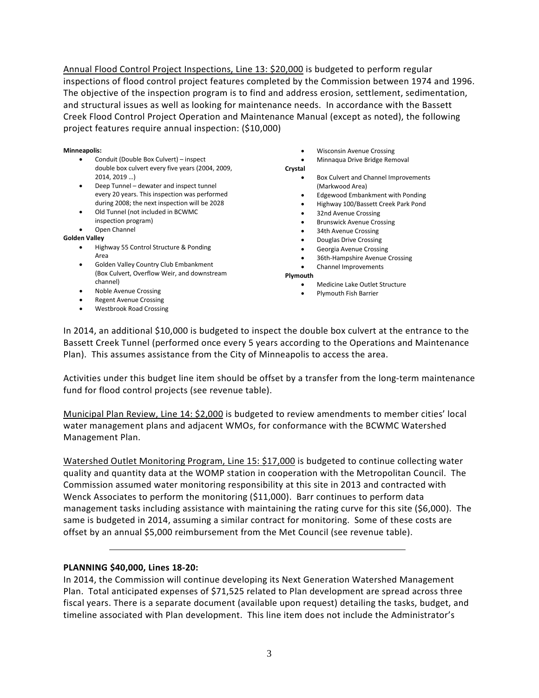Annual Flood Control Project Inspections, Line 13: \$20,000 is budgeted to perform regular inspections of flood control project features completed by the Commission between 1974 and 1996. The objective of the inspection program is to find and address erosion, settlement, sedimentation, and structural issues as well as looking for maintenance needs. In accordance with the Bassett Creek Flood Control Project Operation and Maintenance Manual (except as noted), the following project features require annual inspection: (\$10,000)

#### **Minneapolis:**

- Conduit (Double Box Culvert) inspect double box culvert every five years (2004, 2009, 2014, 2019 …)
- Deep Tunnel dewater and inspect tunnel every 20 years. This inspection was performed during 2008; the next inspection will be 2028
- Old Tunnel (not included in BCWMC inspection program)
- Open Channel

#### **Golden Valley**

- Highway 55 Control Structure & Ponding Area
- Golden Valley Country Club Embankment (Box Culvert, Overflow Weir, and downstream channel)
- Noble Avenue Crossing
- **Regent Avenue Crossing**
- Westbrook Road Crossing

• Wisconsin Avenue Crossing

- Minnaqua Drive Bridge Removal
- **Crystal** • Box Culvert and Channel Improvements (Markwood Area)
	- Edgewood Embankment with Ponding
	- Highway 100/Bassett Creek Park Pond
	- 32nd Avenue Crossing
	- Brunswick Avenue Crossing
	- 34th Avenue Crossing
	- Douglas Drive Crossing
	- Georgia Avenue Crossing
	- 36th-Hampshire Avenue Crossing
	- Channel Improvements

**Plymouth**

- Medicine Lake Outlet Structure
- Plymouth Fish Barrier

In 2014, an additional \$10,000 is budgeted to inspect the double box culvert at the entrance to the Bassett Creek Tunnel (performed once every 5 years according to the Operations and Maintenance Plan). This assumes assistance from the City of Minneapolis to access the area.

Activities under this budget line item should be offset by a transfer from the long-term maintenance fund for flood control projects (see revenue table).

Municipal Plan Review, Line 14: \$2,000 is budgeted to review amendments to member cities' local water management plans and adjacent WMOs, for conformance with the BCWMC Watershed Management Plan.

Watershed Outlet Monitoring Program, Line 15: \$17,000 is budgeted to continue collecting water quality and quantity data at the WOMP station in cooperation with the Metropolitan Council. The Commission assumed water monitoring responsibility at this site in 2013 and contracted with Wenck Associates to perform the monitoring (\$11,000). Barr continues to perform data management tasks including assistance with maintaining the rating curve for this site (\$6,000). The same is budgeted in 2014, assuming a similar contract for monitoring. Some of these costs are offset by an annual \$5,000 reimbursement from the Met Council (see revenue table).

#### **PLANNING \$40,000, Lines 18-20:**

In 2014, the Commission will continue developing its Next Generation Watershed Management Plan. Total anticipated expenses of \$71,525 related to Plan development are spread across three fiscal years. There is a separate document (available upon request) detailing the tasks, budget, and timeline associated with Plan development. This line item does not include the Administrator's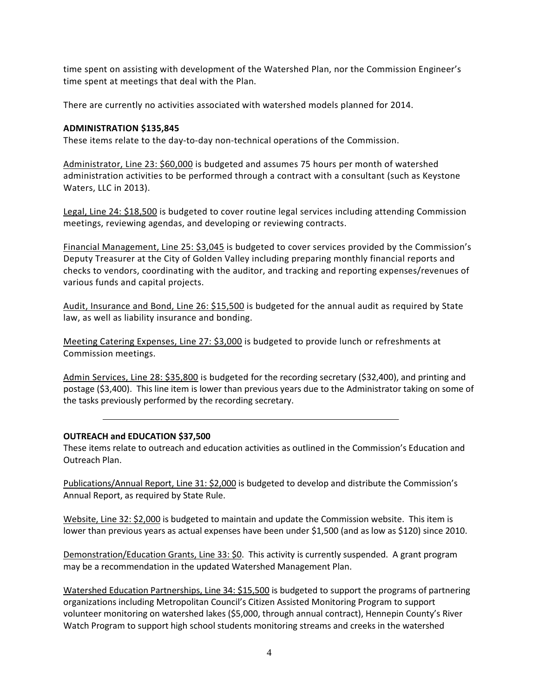time spent on assisting with development of the Watershed Plan, nor the Commission Engineer's time spent at meetings that deal with the Plan.

There are currently no activities associated with watershed models planned for 2014.

### **ADMINISTRATION \$135,845**

These items relate to the day-to-day non-technical operations of the Commission.

Administrator, Line 23: \$60,000 is budgeted and assumes 75 hours per month of watershed administration activities to be performed through a contract with a consultant (such as Keystone Waters, LLC in 2013).

Legal, Line 24: \$18,500 is budgeted to cover routine legal services including attending Commission meetings, reviewing agendas, and developing or reviewing contracts.

Financial Management, Line 25: \$3,045 is budgeted to cover services provided by the Commission's Deputy Treasurer at the City of Golden Valley including preparing monthly financial reports and checks to vendors, coordinating with the auditor, and tracking and reporting expenses/revenues of various funds and capital projects.

Audit, Insurance and Bond, Line 26: \$15,500 is budgeted for the annual audit as required by State law, as well as liability insurance and bonding.

Meeting Catering Expenses, Line 27: \$3,000 is budgeted to provide lunch or refreshments at Commission meetings.

Admin Services, Line 28: \$35,800 is budgeted for the recording secretary (\$32,400), and printing and postage (\$3,400). This line item is lower than previous years due to the Administrator taking on some of the tasks previously performed by the recording secretary.

#### **OUTREACH and EDUCATION \$37,500**

These items relate to outreach and education activities as outlined in the Commission's Education and Outreach Plan.

Publications/Annual Report, Line 31: \$2,000 is budgeted to develop and distribute the Commission's Annual Report, as required by State Rule.

Website, Line 32: \$2,000 is budgeted to maintain and update the Commission website. This item is lower than previous years as actual expenses have been under \$1,500 (and as low as \$120) since 2010.

Demonstration/Education Grants, Line 33: \$0. This activity is currently suspended. A grant program may be a recommendation in the updated Watershed Management Plan.

Watershed Education Partnerships, Line 34: \$15,500 is budgeted to support the programs of partnering organizations including Metropolitan Council's Citizen Assisted Monitoring Program to support volunteer monitoring on watershed lakes (\$5,000, through annual contract), Hennepin County's River Watch Program to support high school students monitoring streams and creeks in the watershed